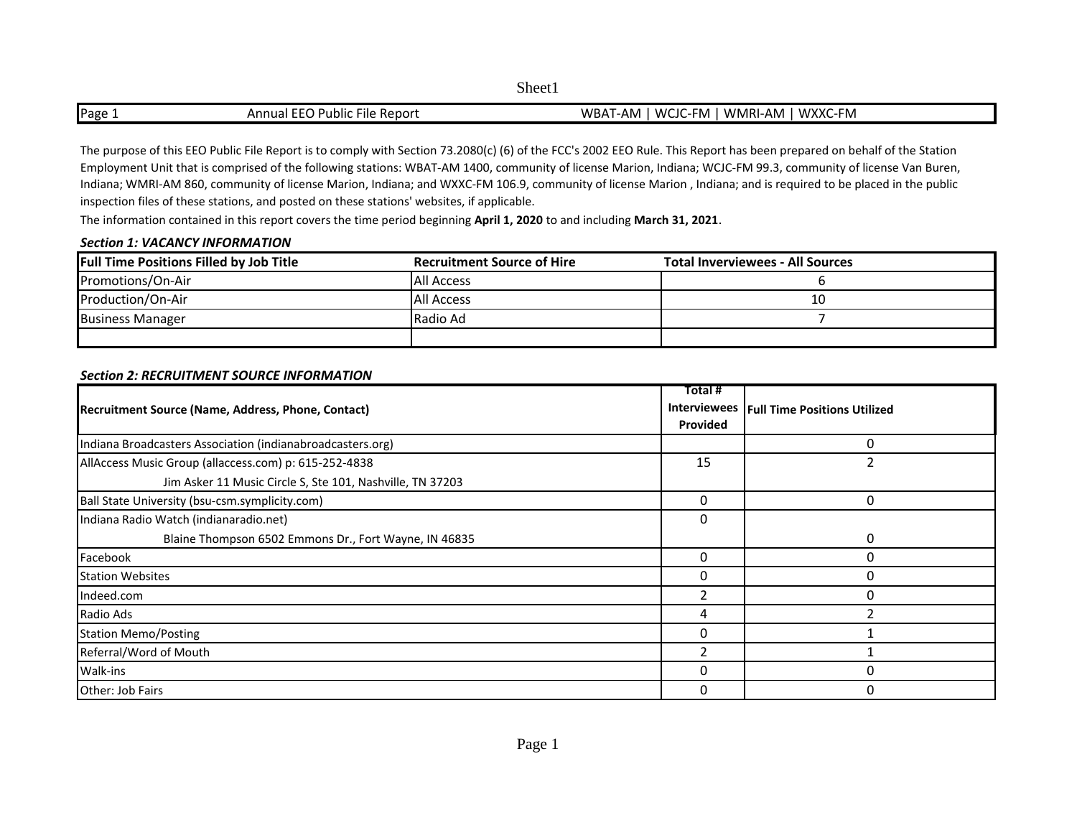Page 1 Annual EEO Public File Report WBAT-AM | WCJC-FM | WMRI-AM | WXXC-FM

The purpose of this EEO Public File Report is to comply with Section 73.2080(c) (6) of the FCC's 2002 EEO Rule. This Report has been prepared on behalf of the Station Employment Unit that is comprised of the following stations: WBAT-AM 1400, community of license Marion, Indiana; WCJC-FM 99.3, community of license Van Buren, Indiana; WMRI-AM 860, community of license Marion, Indiana; and WXXC-FM 106.9, community of license Marion , Indiana; and is required to be placed in the public inspection files of these stations, and posted on these stations' websites, if applicable.

The information contained in this report covers the time period beginning **April 1, 2020** to and including **March 31, 2021**.

### *Section 1: VACANCY INFORMATION*

| <b>Full Time Positions Filled by Job Title</b> | <b>Recruitment Source of Hire</b> | <b>Total Inverviewees - All Sources</b> |
|------------------------------------------------|-----------------------------------|-----------------------------------------|
| Promotions/On-Air                              | <b>All Access</b>                 |                                         |
| Production/On-Air                              | <b>All Access</b>                 | 10                                      |
| <b>Business Manager</b>                        | l Radio Ad                        |                                         |
|                                                |                                   |                                         |

## *Section 2: RECRUITMENT SOURCE INFORMATION*

|                                                            | Total #  |                                             |
|------------------------------------------------------------|----------|---------------------------------------------|
| Recruitment Source (Name, Address, Phone, Contact)         |          | Interviewees   Full Time Positions Utilized |
|                                                            | Provided |                                             |
| Indiana Broadcasters Association (indianabroadcasters.org) |          | O                                           |
| AllAccess Music Group (allaccess.com) p: 615-252-4838      | 15       |                                             |
| Jim Asker 11 Music Circle S, Ste 101, Nashville, TN 37203  |          |                                             |
| Ball State University (bsu-csm.symplicity.com)             |          | 0                                           |
| Indiana Radio Watch (indianaradio.net)                     | 0        |                                             |
| Blaine Thompson 6502 Emmons Dr., Fort Wayne, IN 46835      |          | 0                                           |
| Facebook                                                   | 0        | O                                           |
| <b>Station Websites</b>                                    |          | O                                           |
| Indeed.com                                                 |          | O                                           |
| Radio Ads                                                  | 4        |                                             |
| <b>Station Memo/Posting</b>                                | 0        |                                             |
| Referral/Word of Mouth                                     |          |                                             |
| Walk-ins                                                   | O        | O                                           |
| Other: Job Fairs                                           | O        | $\Omega$                                    |